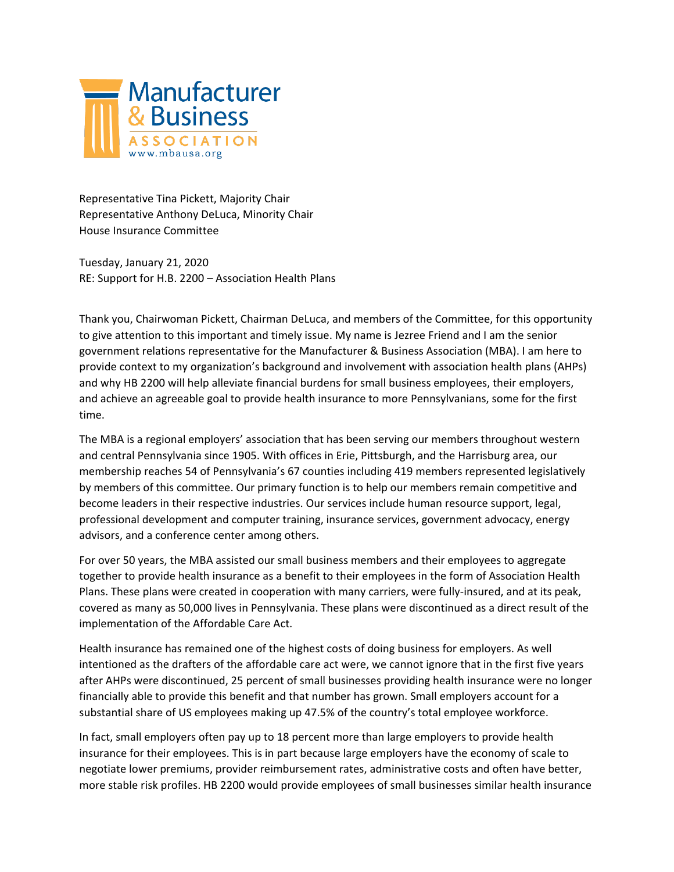

Representative Tina Pickett, Majority Chair Representative Anthony DeLuca, Minority Chair House Insurance Committee

Tuesday, January 21, 2020 RE: Support for H.B. 2200 – Association Health Plans

Thank you, Chairwoman Pickett, Chairman DeLuca, and members of the Committee, for this opportunity to give attention to this important and timely issue. My name is Jezree Friend and I am the senior government relations representative for the Manufacturer & Business Association (MBA). I am here to provide context to my organization's background and involvement with association health plans (AHPs) and why HB 2200 will help alleviate financial burdens for small business employees, their employers, and achieve an agreeable goal to provide health insurance to more Pennsylvanians, some for the first time.

The MBA is a regional employers' association that has been serving our members throughout western and central Pennsylvania since 1905. With offices in Erie, Pittsburgh, and the Harrisburg area, our membership reaches 54 of Pennsylvania's 67 counties including 419 members represented legislatively by members of this committee. Our primary function is to help our members remain competitive and become leaders in their respective industries. Our services include human resource support, legal, professional development and computer training, insurance services, government advocacy, energy advisors, and a conference center among others.

For over 50 years, the MBA assisted our small business members and their employees to aggregate together to provide health insurance as a benefit to their employees in the form of Association Health Plans. These plans were created in cooperation with many carriers, were fully-insured, and at its peak, covered as many as 50,000 lives in Pennsylvania. These plans were discontinued as a direct result of the implementation of the Affordable Care Act.

Health insurance has remained one of the highest costs of doing business for employers. As well intentioned as the drafters of the affordable care act were, we cannot ignore that in the first five years after AHPs were discontinued, 25 percent of small businesses providing health insurance were no longer financially able to provide this benefit and that number has grown. Small employers account for a substantial share of US employees making up 47.5% of the country's total employee workforce.

In fact, small employers often pay up to 18 percent more than large employers to provide health insurance for their employees. This is in part because large employers have the economy of scale to negotiate lower premiums, provider reimbursement rates, administrative costs and often have better, more stable risk profiles. HB 2200 would provide employees of small businesses similar health insurance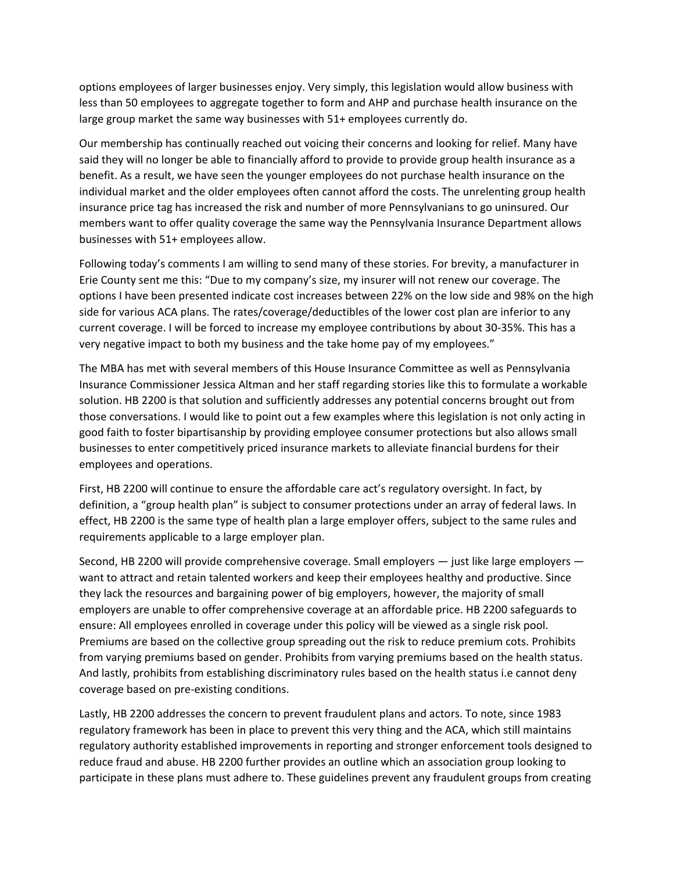options employees of larger businesses enjoy. Very simply, this legislation would allow business with less than 50 employees to aggregate together to form and AHP and purchase health insurance on the large group market the same way businesses with 51+ employees currently do.

Our membership has continually reached out voicing their concerns and looking for relief. Many have said they will no longer be able to financially afford to provide to provide group health insurance as a benefit. As a result, we have seen the younger employees do not purchase health insurance on the individual market and the older employees often cannot afford the costs. The unrelenting group health insurance price tag has increased the risk and number of more Pennsylvanians to go uninsured. Our members want to offer quality coverage the same way the Pennsylvania Insurance Department allows businesses with 51+ employees allow.

Following today's comments I am willing to send many of these stories. For brevity, a manufacturer in Erie County sent me this: "Due to my company's size, my insurer will not renew our coverage. The options I have been presented indicate cost increases between 22% on the low side and 98% on the high side for various ACA plans. The rates/coverage/deductibles of the lower cost plan are inferior to any current coverage. I will be forced to increase my employee contributions by about 30-35%. This has a very negative impact to both my business and the take home pay of my employees."

The MBA has met with several members of this House Insurance Committee as well as Pennsylvania Insurance Commissioner Jessica Altman and her staff regarding stories like this to formulate a workable solution. HB 2200 is that solution and sufficiently addresses any potential concerns brought out from those conversations. I would like to point out a few examples where this legislation is not only acting in good faith to foster bipartisanship by providing employee consumer protections but also allows small businesses to enter competitively priced insurance markets to alleviate financial burdens for their employees and operations.

First, HB 2200 will continue to ensure the affordable care act's regulatory oversight. In fact, by definition, a "group health plan" is subject to consumer protections under an array of federal laws. In effect, HB 2200 is the same type of health plan a large employer offers, subject to the same rules and requirements applicable to a large employer plan.

Second, HB 2200 will provide comprehensive coverage. Small employers — just like large employers want to attract and retain talented workers and keep their employees healthy and productive. Since they lack the resources and bargaining power of big employers, however, the majority of small employers are unable to offer comprehensive coverage at an affordable price. HB 2200 safeguards to ensure: All employees enrolled in coverage under this policy will be viewed as a single risk pool. Premiums are based on the collective group spreading out the risk to reduce premium cots. Prohibits from varying premiums based on gender. Prohibits from varying premiums based on the health status. And lastly, prohibits from establishing discriminatory rules based on the health status i.e cannot deny coverage based on pre-existing conditions.

Lastly, HB 2200 addresses the concern to prevent fraudulent plans and actors. To note, since 1983 regulatory framework has been in place to prevent this very thing and the ACA, which still maintains regulatory authority established improvements in reporting and stronger enforcement tools designed to reduce fraud and abuse. HB 2200 further provides an outline which an association group looking to participate in these plans must adhere to. These guidelines prevent any fraudulent groups from creating